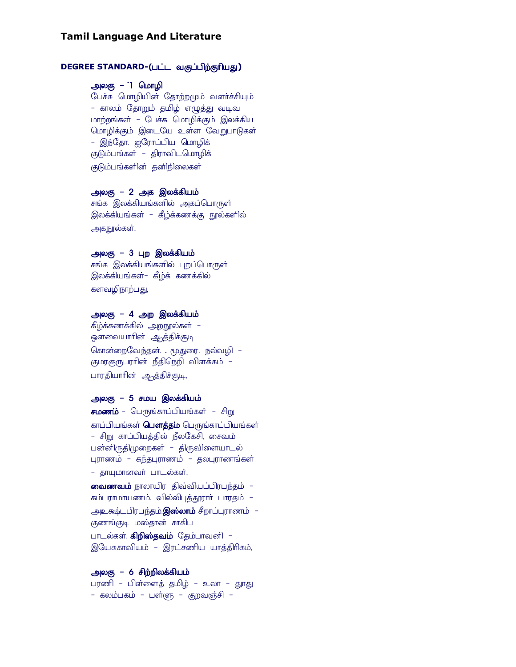#### **Tamil Language And Literature**

#### **DEGREE STANDARD-(பட்ட வகுப்பிற்குரியது)**

# அலகு – 1 மொழி

பேச்சு மொழியின் தோற்றமும் வளர்ச்சியும் – காலம் தோறும் தமிழ் எழுத்து வடிவ மாற்றங்கள் – பேச்சு மொழிக்கும் இலக்கிய மொழிக்கும் இடையே உள்ள வேறுபாடுகள் – இந்தோ. ஐரோப்பிய மொழிக் குடும்பங்கள் – திராவிடமொழிக் குடும்பங்களின் தனிநிலைகள்

# அலகு – 2 அக இலக்கியம்

சங்க இலக்கியங்களில் அகப்பொருள் இலக்கியங்கள் – கீழ்க்கணக்கு நூல்களில் அகநூல்கள்,

### அலகு – 3 புற இலக்கியம்

சங்க இலக்கியங்களில் புறப்பொருள் இலக்கியங்கள்– கீழ்க் கணக்கில் களவழிநாற்பது,

#### அலகு – 4 அற இலக்கியம்

கீழ்க்கணக்கில் அறநூல்கள் – ஔவையாாின் ஆத்திச்சூடி கொன்றைவேந்தன். . மூதுரை. நல்வழி – குமரகுருபராின் நீதிநெறி விளக்கம் – பாரதியாரின் ஆத்திச்சூடி,

#### அலகு – 5 சமய இலக்கியம்

**சமணம்** – பெருங்காப்பியங்கள் – சிறு காப்பியங்கள் **பௌத்தம்** பெருங்காப்பியங்கள் – சிறு காப்பியத்தில் நீலகேசி, சைவம் பன்னிருதிமுறைகள் – திருவிளையாடல் புராணம் – கந்தபுராணம் – தலபுராணங்கள் - தாயுமானவர் பாடல்கள், வைணவம் நாலாயிர திவ்வியப்பிரபந்தம் -கம்பராமாயணம். வில்லிபுத்தூராா் பாரதம் -அஉகூட்டபிரபந்தம்,**இஸ்லாம்** சீறாப்புராணம் – குணங்குடி மஸ்தான் சாகிபு பாடல்கள், **கிறிஸ்தவம்** தேம்பாவனி – இயேசுகாவியம் - இரட்சணிய யாத்திரிகம்,

#### அலகு – 6 சிற்றிலக்கியம்

பரணி – பிள்ளைத் தமிழ் – உலா – தூது – கலம்பகம் – பள்ளு – குறவஞ்சி –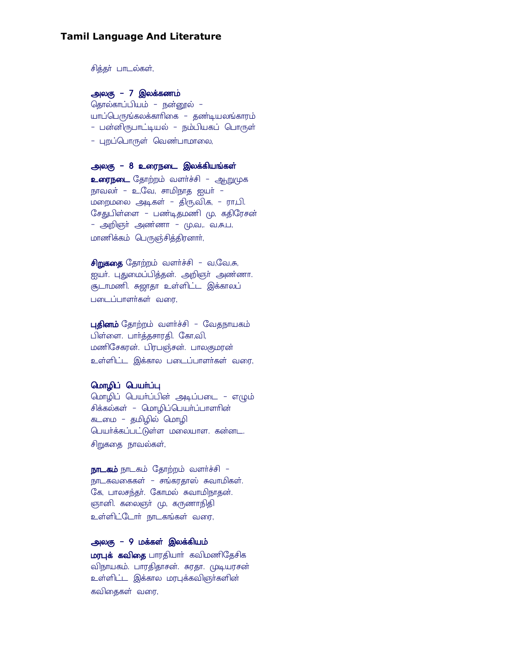## **Tamil Language And Literature**

சித்தா் பாடல்கள்,

## அலகு – 7 இலக்கணம்

தொல்காப்பியம் – நன்னூல் – .<br>யாப்பெருங்கலக்காரிகை – தண்டியலங்காரம் – பன்னிருபாட்டியல் – நம்பியகப் பொருள் – புறப்பொருள் வெண்பாமாலை,

அலகு – 8 உரைநடை இலக்கியங்கள் உரைநடை தோற்றம் வளர்ச்சி – <u>ஆற</u>ுமுக நாவலா் – உ,வே, சாமிநாத ஐயா் – மறைமலை அடிகள் – திரு,வி,க, – ரா,பி. சேதுபிள்ளை – பண்டிதமணி மு, கதிரேசன் – அறிஞா் அண்ணா – மு,வ,. வ,சு,ப, மாணிக்கம் பெருஞ்சித்திரனாா்,

சிறுகதை தோற்றம் வளர்ச்சி – வ,வே,சு, ஐயா். புதுமைப்பித்தன். அறிஞா் அண்ணா. சூடாமணி. சுஜாதா உள்ளிட்ட இக்காலப் படைப்பாளர்கள் வரை,

புதினம் தோற்றம் வளர்ச்சி - வேதநாயகம் பிள்ளை. பார்த்தசாரதி. கோ,வி, மணிசேகரன். பிரபஞ்சன். பாலகுமரன் உள்ளிட்ட இக்கால படைப்பாளர்கள் வரை,

#### மொழிப் பெயர்ப்பு

மொழிப் பெயா்ப்பின் அடிப்படை – எழும் சிக்கல்கள் - மொழிப்பெயர்ப்பாளரின் கடமை – தமிழில் மொழி பெயர்க்கப்பட்டுள்ள மலையாள. கன்னட. சிறுகதை நாவல்கள்,

நாடகம் நாடகம் தோற்றம் வளர்ச்சி – நாடகவகைகள் – சங்கரதாஸ் சுவாமிகள். கே, பாலசந்தா். கோமல் சுவாமிநாதன். ஞானி. கலைஞா் மு, கருணாநிதி உள்ளிட்டோா் நாடகங்கள் வரை,

### அலகு – 9 மக்கள் இலக்கியம்

மரபுக் கவிதை பாரதியார் கவிமணிதேசிக விநாயகம். பாரதிதாசன். சுரதா. முடியரசன் உள்ளிட்ட இக்கால மரபுக்கவிஞா்களின் கவிதைகள் வரை,